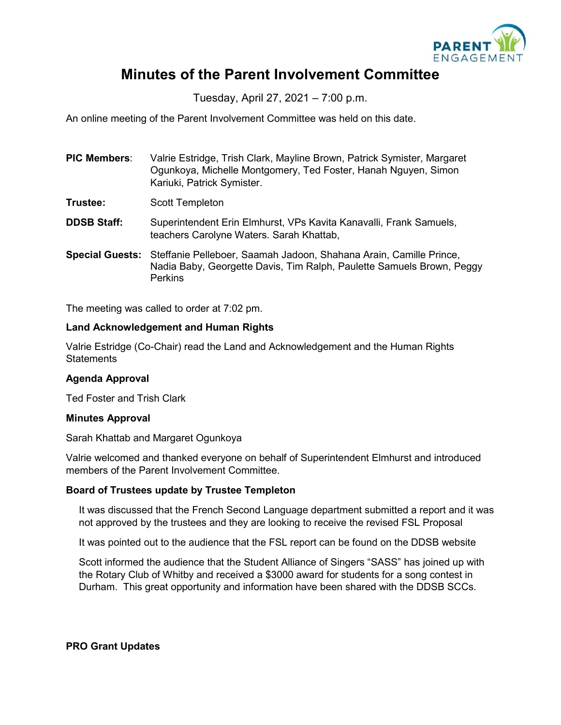

# **Minutes of the Parent Involvement Committee**

Tuesday, April 27, 2021 – 7:00 p.m.

An online meeting of the Parent Involvement Committee was held on this date.

| <b>PIC Members:</b> | Valrie Estridge, Trish Clark, Mayline Brown, Patrick Symister, Margaret |
|---------------------|-------------------------------------------------------------------------|
|                     | Ogunkoya, Michelle Montgomery, Ted Foster, Hanah Nguyen, Simon          |
|                     | Kariuki, Patrick Symister.                                              |

- **Trustee:** Scott Templeton
- **DDSB Staff:** Superintendent Erin Elmhurst, VPs Kavita Kanavalli, Frank Samuels, teachers Carolyne Waters. Sarah Khattab,
- **Special Guests:** Steffanie Pelleboer, Saamah Jadoon, Shahana Arain, Camille Prince, Nadia Baby, Georgette Davis, Tim Ralph, Paulette Samuels Brown, Peggy Perkins

The meeting was called to order at 7:02 pm.

### **Land Acknowledgement and Human Rights**

Valrie Estridge (Co-Chair) read the Land and Acknowledgement and the Human Rights **Statements** 

### **Agenda Approval**

Ted Foster and Trish Clark

#### **Minutes Approval**

Sarah Khattab and Margaret Ogunkoya

Valrie welcomed and thanked everyone on behalf of Superintendent Elmhurst and introduced members of the Parent Involvement Committee.

### **Board of Trustees update by Trustee Templeton**

It was discussed that the French Second Language department submitted a report and it was not approved by the trustees and they are looking to receive the revised FSL Proposal

It was pointed out to the audience that the FSL report can be found on the DDSB website

Scott informed the audience that the Student Alliance of Singers "SASS" has joined up with the Rotary Club of Whitby and received a \$3000 award for students for a song contest in Durham. This great opportunity and information have been shared with the DDSB SCCs.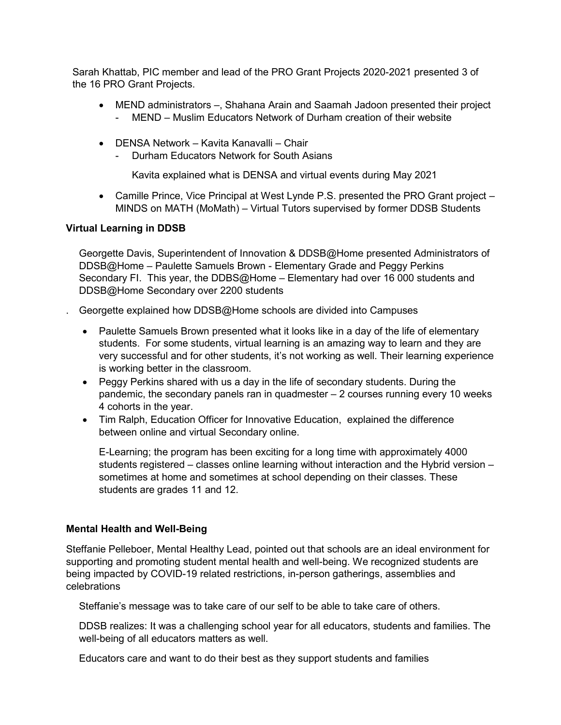Sarah Khattab, PIC member and lead of the PRO Grant Projects 2020-2021 presented 3 of the 16 PRO Grant Projects.

- MEND administrators –, Shahana Arain and Saamah Jadoon presented their project - MEND – Muslim Educators Network of Durham creation of their website
- DENSA Network Kavita Kanavalli Chair
	- Durham Educators Network for South Asians

Kavita explained what is DENSA and virtual events during May 2021

• Camille Prince, Vice Principal at West Lynde P.S. presented the PRO Grant project – MINDS on MATH (MoMath) – Virtual Tutors supervised by former DDSB Students

# **Virtual Learning in DDSB**

Georgette Davis, Superintendent of Innovation & DDSB@Home presented Administrators of DDSB@Home – Paulette Samuels Brown - Elementary Grade and Peggy Perkins Secondary FI. This year, the DDBS@Home – Elementary had over 16 000 students and DDSB@Home Secondary over 2200 students

. Georgette explained how DDSB@Home schools are divided into Campuses

- Paulette Samuels Brown presented what it looks like in a day of the life of elementary students. For some students, virtual learning is an amazing way to learn and they are very successful and for other students, it's not working as well. Their learning experience is working better in the classroom.
- Peggy Perkins shared with us a day in the life of secondary students. During the pandemic, the secondary panels ran in quadmester – 2 courses running every 10 weeks 4 cohorts in the year.
- Tim Ralph, Education Officer for Innovative Education, explained the difference between online and virtual Secondary online.

E-Learning; the program has been exciting for a long time with approximately 4000 students registered – classes online learning without interaction and the Hybrid version – sometimes at home and sometimes at school depending on their classes. These students are grades 11 and 12.

### **Mental Health and Well-Being**

Steffanie Pelleboer, Mental Healthy Lead, pointed out that schools are an ideal environment for supporting and promoting student mental health and well-being. We recognized students are being impacted by COVID-19 related restrictions, in-person gatherings, assemblies and celebrations

Steffanie's message was to take care of our self to be able to take care of others.

DDSB realizes: It was a challenging school year for all educators, students and families. The well-being of all educators matters as well.

Educators care and want to do their best as they support students and families